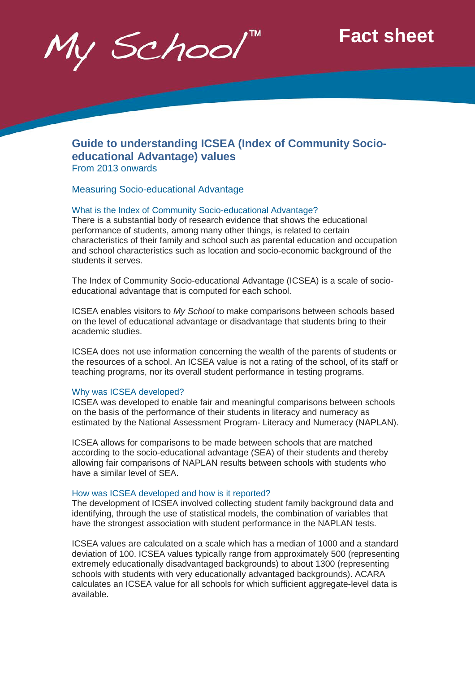y School

# **Fact sheet**

# **Guide to understanding ICSEA (Index of Community Socioeducational Advantage) values** From 2013 onwards

Measuring Socio-educational Advantage

#### What is the Index of Community Socio-educational Advantage?

There is a substantial body of research evidence that shows the educational performance of students, among many other things, is related to certain characteristics of their family and school such as parental education and occupation and school characteristics such as location and socio-economic background of the students it serves.

The Index of Community Socio-educational Advantage (ICSEA) is a scale of socioeducational advantage that is computed for each school.

ICSEA enables visitors to *My School* to make comparisons between schools based on the level of educational advantage or disadvantage that students bring to their academic studies.

ICSEA does not use information concerning the wealth of the parents of students or the resources of a school. An ICSEA value is not a rating of the school, of its staff or teaching programs, nor its overall student performance in testing programs.

#### Why was ICSEA developed?

ICSEA was developed to enable fair and meaningful comparisons between schools on the basis of the performance of their students in literacy and numeracy as estimated by the National Assessment Program- Literacy and Numeracy (NAPLAN).

ICSEA allows for comparisons to be made between schools that are matched according to the socio-educational advantage (SEA) of their students and thereby allowing fair comparisons of NAPLAN results between schools with students who have a similar level of SEA.

#### How was ICSEA developed and how is it reported?

The development of ICSEA involved collecting student family background data and identifying, through the use of statistical models, the combination of variables that have the strongest association with student performance in the NAPLAN tests.

ICSEA values are calculated on a scale which has a median of 1000 and a standard deviation of 100. ICSEA values typically range from approximately 500 (representing extremely educationally disadvantaged backgrounds) to about 1300 (representing schools with students with very educationally advantaged backgrounds). ACARA calculates an ICSEA value for all schools for which sufficient aggregate-level data is available.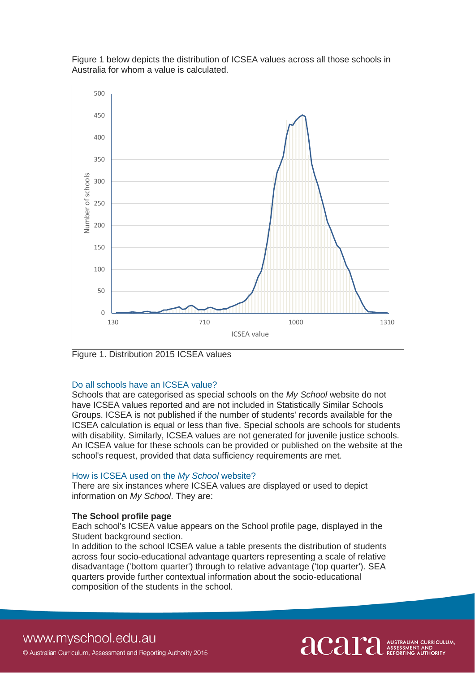

Figure 1 below depicts the distribution of ICSEA values across all those schools in Australia for whom a value is calculated.

Figure 1. Distribution 2015 ICSEA values

#### Do all schools have an ICSEA value?

Schools that are categorised as special schools on the *My School* website do not have ICSEA values reported and are not included in Statistically Similar Schools Groups. ICSEA is not published if the number of students' records available for the ICSEA calculation is equal or less than five. Special schools are schools for students with disability. Similarly, ICSEA values are not generated for juvenile justice schools. An ICSEA value for these schools can be provided or published on the website at the school's request, provided that data sufficiency requirements are met.

#### How is ICSEA used on the *My School* website?

There are six instances where ICSEA values are displayed or used to depict information on *My School*. They are:

### **The School profile page**

Each school's ICSEA value appears on the School profile page, displayed in the Student background section.

In addition to the school ICSEA value a table presents the distribution of students across four socio-educational advantage quarters representing a scale of relative disadvantage ('bottom quarter') through to relative advantage ('top quarter'). SEA quarters provide further contextual information about the socio-educational composition of the students in the school.

# www.myschool.edu.au

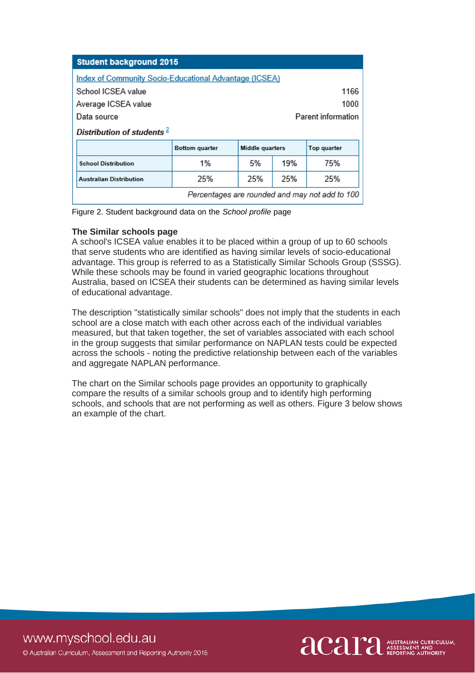| <b>Student background 2015</b>                                |                       |                    |     |                                                |  |  |  |  |  |
|---------------------------------------------------------------|-----------------------|--------------------|-----|------------------------------------------------|--|--|--|--|--|
| <b>Index of Community Socio-Educational Advantage (ICSEA)</b> |                       |                    |     |                                                |  |  |  |  |  |
| School ICSEA value<br>1166                                    |                       |                    |     |                                                |  |  |  |  |  |
| 1000<br>Average ICSEA value                                   |                       |                    |     |                                                |  |  |  |  |  |
| Data source                                                   |                       | Parent information |     |                                                |  |  |  |  |  |
| Distribution of students $2$                                  |                       |                    |     |                                                |  |  |  |  |  |
|                                                               | <b>Bottom quarter</b> | Middle quarters    |     | Top quarter                                    |  |  |  |  |  |
| <b>School Distribution</b>                                    | 1%                    | 5%                 | 19% | 75%                                            |  |  |  |  |  |
| <b>Australian Distribution</b>                                | 25%                   | 25%                | 25% | 25%                                            |  |  |  |  |  |
|                                                               |                       |                    |     | Percentages are rounded and may not add to 100 |  |  |  |  |  |

Figure 2. Student background data on the *School profile* page

# **The Similar schools page**

A school's ICSEA value enables it to be placed within a group of up to 60 schools that serve students who are identified as having similar levels of socio-educational advantage. This group is referred to as a Statistically Similar Schools Group (SSSG). While these schools may be found in varied geographic locations throughout Australia, based on ICSEA their students can be determined as having similar levels of educational advantage.

The description "statistically similar schools" does not imply that the students in each school are a close match with each other across each of the individual variables measured, but that taken together, the set of variables associated with each school in the group suggests that similar performance on NAPLAN tests could be expected across the schools - noting the predictive relationship between each of the variables and aggregate NAPLAN performance.

The chart on the Similar schools page provides an opportunity to graphically compare the results of a similar schools group and to identify high performing schools, and schools that are not performing as well as others. Figure 3 below shows an example of the chart.

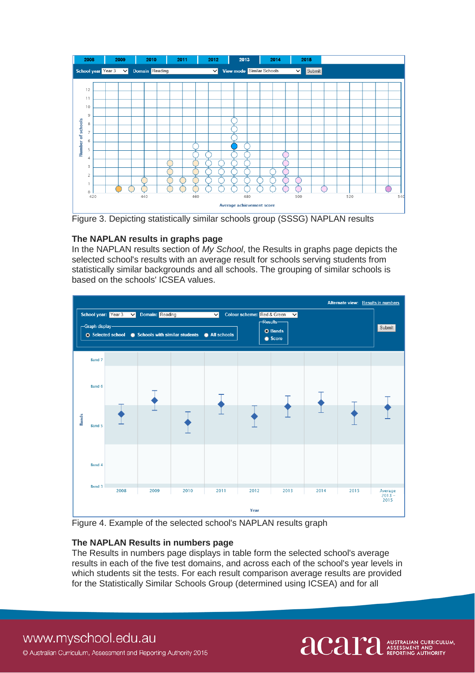

Figure 3. Depicting statistically similar schools group (SSSG) NAPLAN results

# **The NAPLAN results in graphs page**

In the NAPLAN results section of *My School*, the Results in graphs page depicts the selected school's results with an average result for schools serving students from statistically similar backgrounds and all schools. The grouping of similar schools is based on the schools' ICSEA values.



Figure 4. Example of the selected school's NAPLAN results graph

# **The NAPLAN Results in numbers page**

The Results in numbers page displays in table form the selected school's average results in each of the five test domains, and across each of the school's year levels in which students sit the tests. For each result comparison average results are provided for the Statistically Similar Schools Group (determined using ICSEA) and for all



www.myschool.edu.au © Australian Curriculum, Assessment and Reporting Authority 2015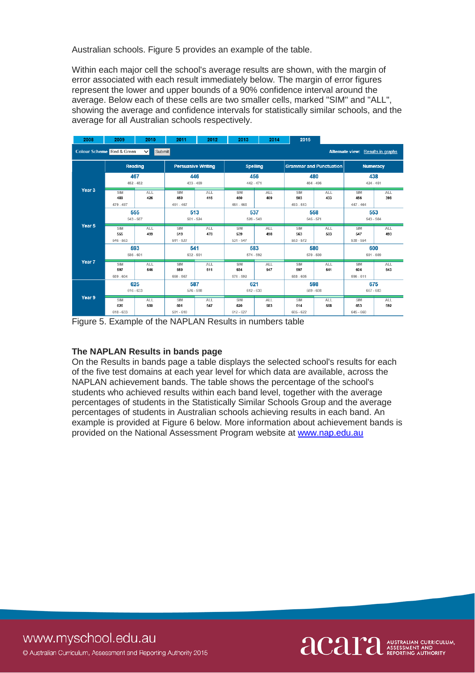Australian schools. Figure 5 provides an example of the table.

Within each major cell the school's average results are shown, with the margin of error associated with each result immediately below. The margin of error figures represent the lower and upper bounds of a 90% confidence interval around the average. Below each of these cells are two smaller cells, marked "SIM" and "ALL", showing the average and confidence intervals for statistically similar schools, and the average for all Australian schools respectively.

| 2008                                                                                      | 2009                             | 2010              | 2011                      | 2012              | 2013                             | 2014              | 2015                             |                   |                           |                   |  |  |  |
|-------------------------------------------------------------------------------------------|----------------------------------|-------------------|---------------------------|-------------------|----------------------------------|-------------------|----------------------------------|-------------------|---------------------------|-------------------|--|--|--|
| <b>Colour Scheme</b> Red & Green<br>Submit<br>Alternate view: Results in graphs<br>$\vee$ |                                  |                   |                           |                   |                                  |                   |                                  |                   |                           |                   |  |  |  |
|                                                                                           | Reading                          |                   | <b>Persuasive Writing</b> |                   | <b>Spelling</b>                  |                   | <b>Grammar and Punctuation</b>   |                   | Numeracy                  |                   |  |  |  |
|                                                                                           | 467<br>$452 - 482$               |                   | 446<br>$433 - 459$        |                   | 456<br>$442 - 471$               |                   | 480<br>$464 - 496$               |                   | 438<br>$424 - 451$        |                   |  |  |  |
| Year <sub>3</sub>                                                                         | SIM<br>489<br>$479 - 497$        | <b>ALL</b><br>426 | SIM<br>459<br>$451 - 467$ | <b>ALL</b><br>416 | SIM<br>460<br>$451 - 468$        | ALL<br>409        | SIM<br>503<br>$493 - 513$        | ALL<br>433        | SIM<br>456<br>$447 - 464$ | <b>ALL</b><br>398 |  |  |  |
|                                                                                           | 555<br>$543 - 567$               |                   | 513<br>$501 - 524$        |                   | 537<br>$526 - 549$               |                   | 558<br>$545 - 571$               |                   | 553<br>543 - 564          |                   |  |  |  |
| Year 5                                                                                    | <b>SIM</b><br>555<br>$546 - 563$ | <b>ALL</b><br>499 | SIM<br>519<br>$511 - 527$ | <b>ALL</b><br>478 | SIM<br>539<br>$531 - 547$        | <b>ALL</b><br>498 | <b>SIM</b><br>563<br>$553 - 572$ | ALL<br>503        | SIM<br>547<br>$538 - 554$ | <b>ALL</b><br>493 |  |  |  |
|                                                                                           | 593<br>$586 - 601$               |                   | 541<br>$532 - 551$        |                   | 583<br>$574 - 592$               |                   | 580<br>$570 - 590$               |                   | 600<br>$591 - 609$        |                   |  |  |  |
| Year 7                                                                                    | <b>SIM</b><br>597<br>$589 - 604$ | <b>ALL</b><br>546 | SIM<br>559<br>$550 - 567$ | <b>ALL</b><br>511 | SIM<br>584<br>$576 - 592$        | <b>ALL</b><br>547 | SIM<br>597<br>$588 - 605$        | <b>ALL</b><br>541 | SIM<br>604<br>$596 - 611$ | ALL.<br>543       |  |  |  |
| Year 9                                                                                    | 625<br>$616 - 633$               |                   | 587<br>$576 - 598$        |                   | 621<br>$612 - 630$               |                   | 598<br>$589 - 608$               |                   | 675<br>667 - 683          |                   |  |  |  |
|                                                                                           | <b>SIM</b><br>626<br>$618 - 633$ | <b>ALL</b><br>580 | SIM<br>601<br>$591 - 610$ | <b>ALL</b><br>547 | <b>SIM</b><br>620<br>$612 - 627$ | <b>ALL</b><br>583 | <b>SIM</b><br>614<br>$605 - 622$ | ALL<br>568        | SIM<br>653<br>$645 - 660$ | <b>ALL</b><br>592 |  |  |  |

Figure 5. Example of the NAPLAN Results in numbers table

# **The NAPLAN Results in bands page**

On the Results in bands page a table displays the selected school's results for each of the five test domains at each year level for which data are available, across the NAPLAN achievement bands. The table shows the percentage of the school's students who achieved results within each band level, together with the average percentages of students in the Statistically Similar Schools Group and the average percentages of students in Australian schools achieving results in each band. An example is provided at Figure 6 below. More information about achievement bands is provided on the National Assessment Program website at [www.nap.edu.au](http://www.nap.edu.au/)

acaritan CURRICULUM,

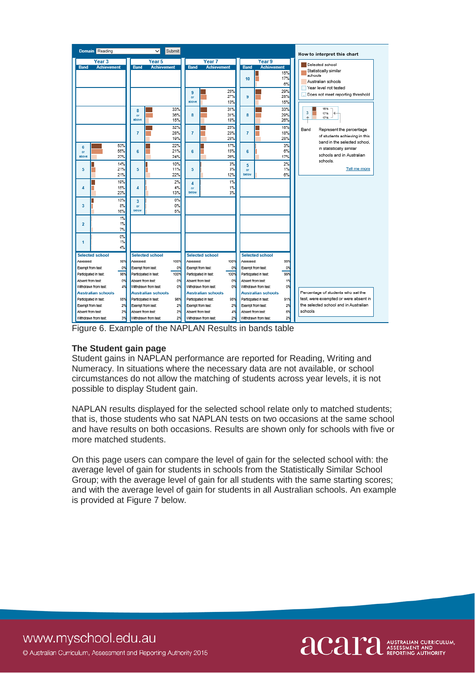

Figure 6. Example of the NAPLAN Results in bands table

# **The Student gain page**

Student gains in NAPLAN performance are reported for Reading, Writing and Numeracy. In situations where the necessary data are not available, or school circumstances do not allow the matching of students across year levels, it is not possible to display Student gain.

NAPLAN results displayed for the selected school relate only to matched students; that is, those students who sat NAPLAN tests on two occasions at the same school and have results on both occasions. Results are shown only for schools with five or more matched students.

On this page users can compare the level of gain for the selected school with: the average level of gain for students in schools from the Statistically Similar School Group; with the average level of gain for all students with the same starting scores; and with the average level of gain for students in all Australian schools. An example is provided at Figure 7 below.

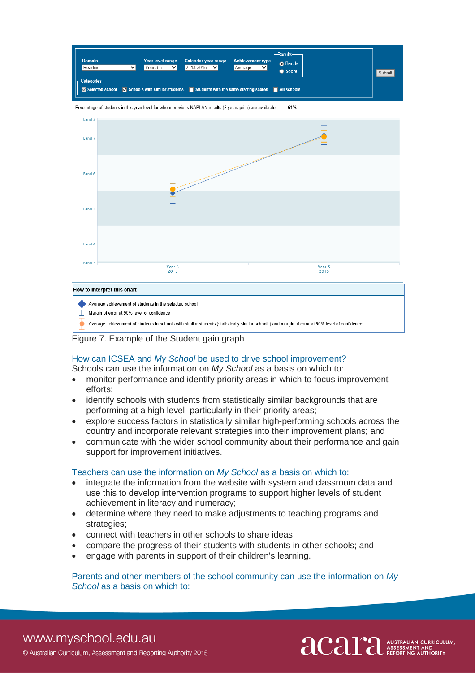

Figure 7. Example of the Student gain graph

# How can ICSEA and *My School* be used to drive school improvement?

Schools can use the information on *My School* as a basis on which to:

- monitor performance and identify priority areas in which to focus improvement efforts;
- identify schools with students from statistically similar backgrounds that are performing at a high level, particularly in their priority areas;
- explore success factors in statistically similar high-performing schools across the country and incorporate relevant strategies into their improvement plans; and
- communicate with the wider school community about their performance and gain support for improvement initiatives.

#### Teachers can use the information on *My School* as a basis on which to:

- integrate the information from the website with system and classroom data and use this to develop intervention programs to support higher levels of student achievement in literacy and numeracy;
- determine where they need to make adjustments to teaching programs and strategies;
- connect with teachers in other schools to share ideas;
- compare the progress of their students with students in other schools; and
- engage with parents in support of their children's learning.

#### Parents and other members of the school community can use the information on *My School* as a basis on which to:

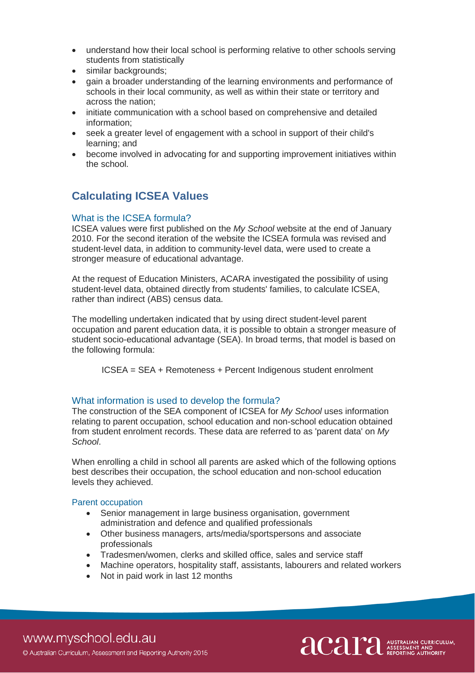- understand how their local school is performing relative to other schools serving students from statistically
- similar backgrounds;
- gain a broader understanding of the learning environments and performance of schools in their local community, as well as within their state or territory and across the nation;
- initiate communication with a school based on comprehensive and detailed information;
- seek a greater level of engagement with a school in support of their child's learning; and
- become involved in advocating for and supporting improvement initiatives within the school.

# **Calculating ICSEA Values**

# What is the ICSEA formula?

ICSEA values were first published on the *My School* website at the end of January 2010. For the second iteration of the website the ICSEA formula was revised and student-level data, in addition to community-level data, were used to create a stronger measure of educational advantage.

At the request of Education Ministers, ACARA investigated the possibility of using student-level data, obtained directly from students' families, to calculate ICSEA, rather than indirect (ABS) census data.

The modelling undertaken indicated that by using direct student-level parent occupation and parent education data, it is possible to obtain a stronger measure of student socio-educational advantage (SEA). In broad terms, that model is based on the following formula:

ICSEA = SEA + Remoteness + Percent Indigenous student enrolment

# What information is used to develop the formula?

The construction of the SEA component of ICSEA for *My School* uses information relating to parent occupation, school education and non-school education obtained from student enrolment records. These data are referred to as 'parent data' on *My School*.

When enrolling a child in school all parents are asked which of the following options best describes their occupation, the school education and non-school education levels they achieved.

#### Parent occupation

- Senior management in large business organisation, government administration and defence and qualified professionals
- Other business managers, arts/media/sportspersons and associate professionals
- Tradesmen/women, clerks and skilled office, sales and service staff
- Machine operators, hospitality staff, assistants, labourers and related workers
- Not in paid work in last 12 months